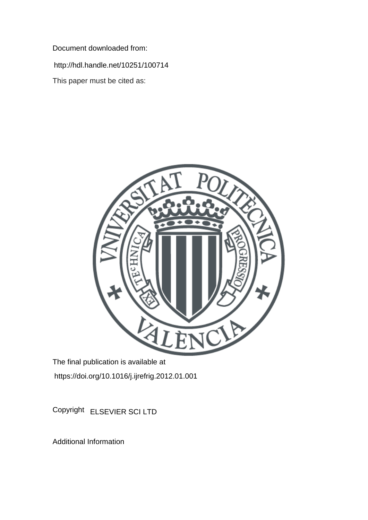Document downloaded from:

http://hdl.handle.net/10251/100714

This paper must be cited as:



The final publication is available at https://doi.org/10.1016/j.ijrefrig.2012.01.001

Copyright ELSEVIER SCI LTD

Additional Information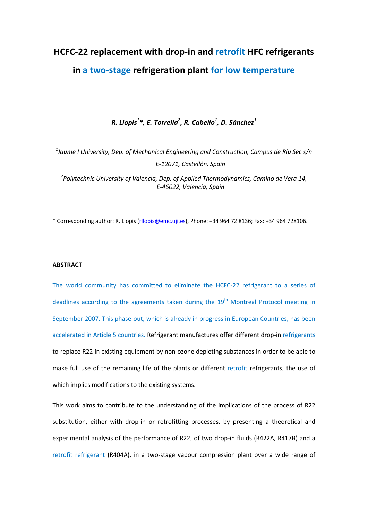# **HCFC-22 replacement with drop-in and retrofit HFC refrigerants in a two-stage refrigeration plant for low temperature**

# *R. Llopis1 \*, E. Torrella2 , R. Cabello1 , D. Sánchez1*

*1 Jaume I University, Dep. of Mechanical Engineering and Construction, Campus de Riu Sec s/n E-12071, Castellón, Spain*

*2 Polytechnic University of Valencia, Dep. of Applied Thermodynamics, Camino de Vera 14, E-46022, Valencia, Spain*

\* Corresponding author: R. Llopis [\(rllopis@emc.uji.es\)](mailto:rllopis@emc.uji.es), Phone: +34 964 72 8136; Fax: +34 964 728106.

#### **ABSTRACT**

The world community has committed to eliminate the HCFC-22 refrigerant to a series of deadlines according to the agreements taken during the  $19<sup>th</sup>$  Montreal Protocol meeting in September 2007. This phase-out, which is already in progress in European Countries, has been accelerated in Article 5 countries. Refrigerant manufactures offer different drop-in refrigerants to replace R22 in existing equipment by non-ozone depleting substances in order to be able to make full use of the remaining life of the plants or different retrofit refrigerants, the use of which implies modifications to the existing systems.

This work aims to contribute to the understanding of the implications of the process of R22 substitution, either with drop-in or retrofitting processes, by presenting a theoretical and experimental analysis of the performance of R22, of two drop-in fluids (R422A, R417B) and a retrofit refrigerant (R404A), in a two-stage vapour compression plant over a wide range of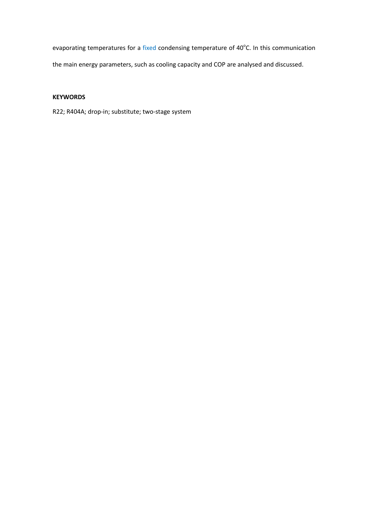evaporating temperatures for a fixed condensing temperature of 40°C. In this communication the main energy parameters, such as cooling capacity and COP are analysed and discussed.

# **KEYWORDS**

R22; R404A; drop-in; substitute; two-stage system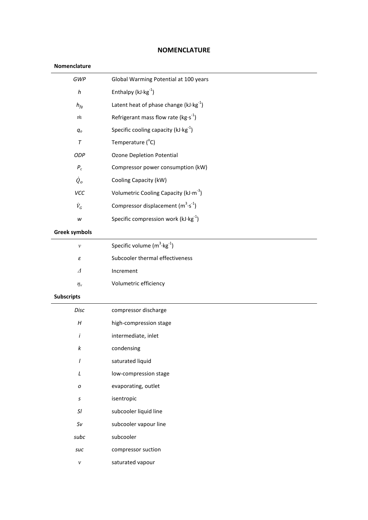# **NOMENCLATURE**

# **Nomenclature**

| GWP                        | Global Warming Potential at 100 years            |  |  |  |
|----------------------------|--------------------------------------------------|--|--|--|
| $\boldsymbol{h}$           | Enthalpy $(kJ·kg-1)$                             |  |  |  |
| $h_{fg}$                   | Latent heat of phase change $(kJ \cdot kg^{-1})$ |  |  |  |
| $\dot m$                   | Refrigerant mass flow rate ( $kg·s^{-1}$ )       |  |  |  |
| $q_o$                      | Specific cooling capacity ( $kJ \cdot kg^{-1}$ ) |  |  |  |
| $\tau$                     | Temperature (°C)                                 |  |  |  |
| ODP                        | <b>Ozone Depletion Potential</b>                 |  |  |  |
| $P_c$                      | Compressor power consumption (kW)                |  |  |  |
| $\dot{Q}_o$                | Cooling Capacity (kW)                            |  |  |  |
| VCC                        | Volumetric Cooling Capacity ( $kJ·m^{-3}$ )      |  |  |  |
| $\dot{V}_G$                | Compressor displacement $(m^3 \cdot s^{-1})$     |  |  |  |
| W                          | Specific compression work $(kJ \cdot kg^{-1})$   |  |  |  |
| <b>Greek symbols</b>       |                                                  |  |  |  |
| $\boldsymbol{\nu}$         | Specific volume $(m^3 \cdot kg^{-1})$            |  |  |  |
| $\varepsilon$              | Subcooler thermal effectiveness                  |  |  |  |
| $\Delta$                   | Increment                                        |  |  |  |
| $\eta_v$                   | Volumetric efficiency                            |  |  |  |
| <b>Subscripts</b>          |                                                  |  |  |  |
| Disc                       | compressor discharge                             |  |  |  |
| $\boldsymbol{H}$           | high-compression stage                           |  |  |  |
| İ                          | intermediate, inlet                              |  |  |  |
| k                          | condensing                                       |  |  |  |
| $\overline{I}$             | saturated liquid                                 |  |  |  |
| $\cal L$                   | low-compression stage                            |  |  |  |
| o                          | evaporating, outlet                              |  |  |  |
| $\boldsymbol{\mathsf{S}}$  | isentropic                                       |  |  |  |
| $\ensuremath{\mathcal{S}}$ | subcooler liquid line                            |  |  |  |
| Sv                         | subcooler vapour line                            |  |  |  |
| subc                       | subcooler                                        |  |  |  |
| suc                        | compressor suction                               |  |  |  |
| $\mathcal V$               | saturated vapour                                 |  |  |  |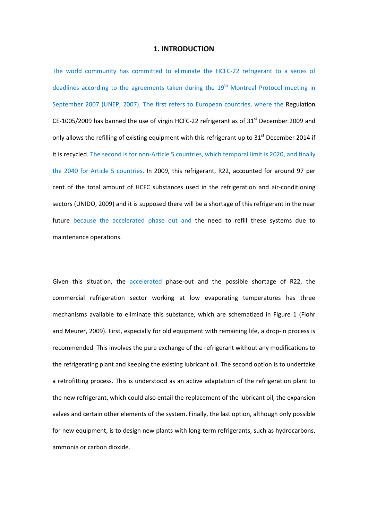## **1. INTRODUCTION**

The world community has committed to eliminate the HCFC-22 refrigerant to a series of deadlines according to the agreements taken during the  $19<sup>th</sup>$  Montreal Protocol meeting in September 2007 [\(UNEP, 2007\)](#page-19-0). The first refers to European countries, where the Regulation CE-1005/2009 has banned the use of virgin HCFC-22 refrigerant as of  $31<sup>st</sup>$  December 2009 and only allows the refilling of existing equipment with this refrigerant up to  $31<sup>st</sup>$  December 2014 if it is recycled. The second is for non-Article 5 countries, which temporal limit is 2020, and finally the 2040 for Article 5 countries. In 2009, this refrigerant, R22, accounted for around 97 per cent of the total amount of HCFC substances used in the refrigeration and air-conditioning sectors [\(UNIDO, 2009\)](#page-19-1) and it is supposed there will be a shortage of this refrigerant in the near future because the accelerated phase out and the need to refill these systems due to maintenance operations.

Given this situation, the accelerated phase-out and the possible shortage of R22, the commercial refrigeration sector working at low evaporating temperatures has three mechanisms available to eliminate this substance, which are schematized in [Figure 1](#page-5-0) [\(Flohr](#page-18-0)  [and Meurer, 2009\)](#page-18-0). First, especially for old equipment with remaining life, a drop-in process is recommended. This involves the pure exchange of the refrigerant without any modifications to the refrigerating plant and keeping the existing lubricant oil. The second option is to undertake a retrofitting process. This is understood as an active adaptation of the refrigeration plant to the new refrigerant, which could also entail the replacement of the lubricant oil, the expansion valves and certain other elements of the system. Finally, the last option, although only possible for new equipment, is to design new plants with long-term refrigerants, such as hydrocarbons, ammonia or carbon dioxide.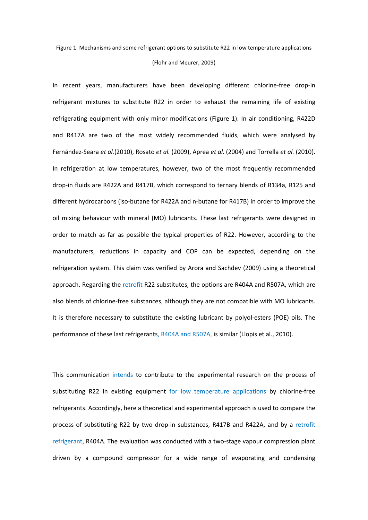#### [\(Flohr and Meurer, 2009\)](#page-18-0)

<span id="page-5-0"></span>In recent years, manufacturers have been developing different chlorine-free drop-in refrigerant mixtures to substitute R22 in order to exhaust the remaining life of existing refrigerating equipment with only minor modifications [\(Figure 1\)](#page-5-0). In air conditioning, R422D and R417A are two of the most widely recommended fluids, which were analysed by Fernández-Seara *et al.*[\(2010\)](#page-18-1), Rosato *et al.* [\(2009\)](#page-18-2), Aprea *et al.* [\(2004\)](#page-18-3) and Torrella *et al.* [\(2010\)](#page-19-2). In refrigeration at low temperatures, however, two of the most frequently recommended drop-in fluids are R422A and R417B, which correspond to ternary blends of R134a, R125 and different hydrocarbons (iso-butane for R422A and n-butane for R417B) in order to improve the oil mixing behaviour with mineral (MO) lubricants. These last refrigerants were designed in order to match as far as possible the typical properties of R22. However, according to the manufacturers, reductions in capacity and COP can be expected, depending on the refrigeration system. This claim was verified by Arora and Sachdev [\(2009\)](#page-18-4) using a theoretical approach. Regarding the retrofit R22 substitutes, the options are R404A and R507A, which are also blends of chlorine-free substances, although they are not compatible with MO lubricants. It is therefore necessary to substitute the existing lubricant by polyol-esters (POE) oils. The performance of these last refrigerants, R404A and R507A, is similar [\(Llopis et al., 2010\)](#page-18-5).

This communication intends to contribute to the experimental research on the process of substituting R22 in existing equipment for low temperature applications by chlorine-free refrigerants. Accordingly, here a theoretical and experimental approach is used to compare the process of substituting R22 by two drop-in substances, R417B and R422A, and by a retrofit refrigerant, R404A. The evaluation was conducted with a two-stage vapour compression plant driven by a compound compressor for a wide range of evaporating and condensing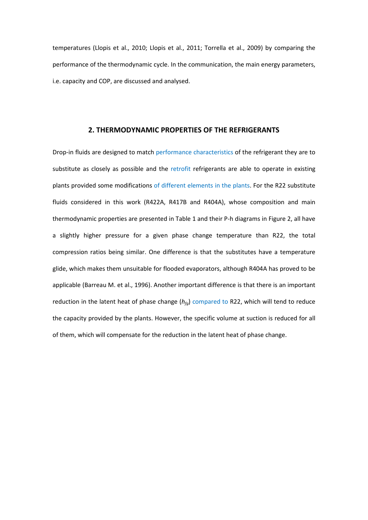temperatures [\(Llopis et al., 2010;](#page-18-5) [Llopis et al., 2011;](#page-18-6) [Torrella et al., 2009\)](#page-19-3) by comparing the performance of the thermodynamic cycle. In the communication, the main energy parameters, i.e. capacity and COP, are discussed and analysed.

## **2. THERMODYNAMIC PROPERTIES OF THE REFRIGERANTS**

Drop-in fluids are designed to match performance characteristics of the refrigerant they are to substitute as closely as possible and the retrofit refrigerants are able to operate in existing plants provided some modifications of different elements in the plants. For the R22 substitute fluids considered in this work (R422A, R417B and R404A), whose composition and main thermodynamic properties are presented in [Table 1](#page-7-0) and their P-h diagrams i[n Figure 2,](#page-7-1) all have a slightly higher pressure for a given phase change temperature than R22, the total compression ratios being similar. One difference is that the substitutes have a temperature glide, which makes them unsuitable for flooded evaporators, although R404A has proved to be applicable [\(Barreau M. et al., 1996\)](#page-18-7). Another important difference is that there is an important reduction in the latent heat of phase change (*hfg*) compared to R22, which will tend to reduce the capacity provided by the plants. However, the specific volume at suction is reduced for all of them, which will compensate for the reduction in the latent heat of phase change.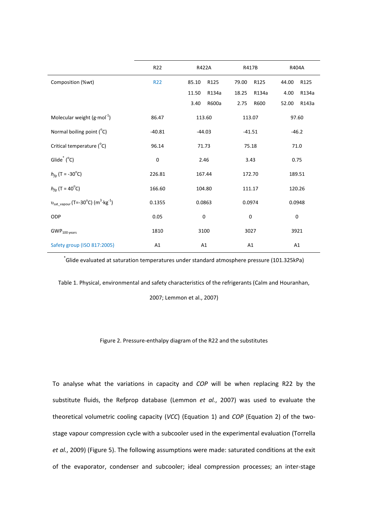|                                                                      | R <sub>22</sub> | R422A          | R417B          | R404A          |
|----------------------------------------------------------------------|-----------------|----------------|----------------|----------------|
| Composition (%wt)                                                    | <b>R22</b>      | R125<br>85.10  | 79.00<br>R125  | 44.00<br>R125  |
|                                                                      |                 | 11.50<br>R134a | 18.25<br>R134a | 4.00<br>R134a  |
|                                                                      |                 | R600a<br>3.40  | 2.75<br>R600   | 52.00<br>R143a |
| Molecular weight $(g \cdot mol^{-1})$                                | 86.47           | 113.60         | 113.07         | 97.60          |
| Normal boiling point (°C)                                            | $-40.81$        | $-44.03$       | $-41.51$       | $-46.2$        |
| Critical temperature (°C)                                            | 96.14           | 71.73          | 75.18          | 71.0           |
| Glide <sup>*</sup> $(^{\circ}C)$                                     | $\mathbf 0$     | 2.46           | 3.43           | 0.75           |
| $h_{fa}$ (T = -30 <sup>o</sup> C)                                    | 226.81          | 167.44         | 172.70         | 189.51         |
| $h_{fg}$ (T = 40°C)                                                  | 166.60          | 104.80         | 111.17         | 120.26         |
| $v_{\text{sat vapor}}$ (T=-30°C) (m <sup>3</sup> ·kg <sup>-1</sup> ) | 0.1355          | 0.0863         | 0.0974         | 0.0948         |
| ODP                                                                  | 0.05            | 0              | $\mathbf 0$    | $\mathbf 0$    |
| GWP <sub>100 years</sub>                                             | 1810            | 3100           | 3027           | 3921           |
| Safety group (ISO 817:2005)                                          | A1              | A1             | A1             | A1             |

\* Glide evaluated at saturation temperatures under standard atmosphere pressure (101.325kPa)

<span id="page-7-0"></span>Table 1. Physical, environmental and safety characteristics of the refrigerants ( [Calm and Houranhan,](#page-18-8) 

[2007;](#page-18-8) [Lemmon et al., 2007\)](#page-18-9)

#### Figure 2. Pressure-enthalpy diagram of the R22 and the substitutes

<span id="page-7-1"></span>To analyse what the variations in capacity and *COP* will be when replacing R22 by the substitute fluids, the Refprop database [\(Lemmon](#page-18-9) *et al.*, 2007) was used to evaluate the theoretical volumetric cooling capacity (*VCC*) (Equation 1) and *COP* (Equation 2) of the twostage vapour compression cycle with a subcooler used in the experimental evaluation [\(Torrella](#page-19-3)  *et al.*[, 2009\)](#page-19-3) [\(Figure 5\)](#page-10-0). The following assumptions were made: saturated conditions at the exit of the evaporator, condenser and subcooler; ideal compression processes; an inter-stage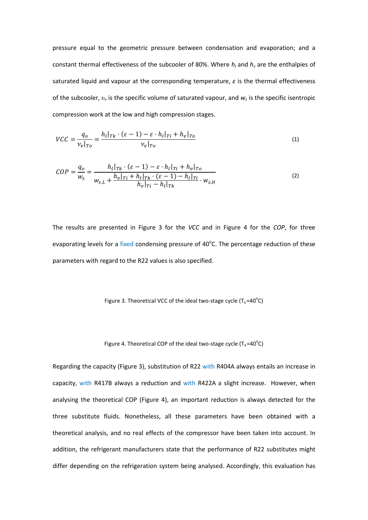pressure equal to the geometric pressure between condensation and evaporation; and a constant thermal effectiveness of the subcooler of 80%. Where  $h_l$  and  $h_v$  are the enthalpies of saturated liquid and vapour at the corresponding temperature,  $\varepsilon$  is the thermal effectiveness of the subcooler, *υ<sup>v</sup>* is the specific volume of saturated vapour, and *ws* is the specific isentropic compression work at the low and high compression stages.

$$
VCC = \frac{q_o}{v_v|_{To}} = \frac{h_l|_{Tk} \cdot (\varepsilon - 1) - \varepsilon \cdot h_l|_{Ti} + h_v|_{To}}{v_v|_{To}}
$$
\n
$$
(1)
$$

$$
COP = \frac{q_o}{w_s} = \frac{h_l|_{Tk} \cdot (\varepsilon - 1) - \varepsilon \cdot h_l|_{Ti} + h_v|_{To}}{w_{s,L} + \frac{h_v|_{Ti} + h_l|_{Tk} \cdot (\varepsilon - 1) - h_l|_{Ti}}{h_v|_{Ti} - h_l|_{Tk}} \cdot w_{s,H}
$$
(2)

The results are presented in [Figure 3](#page-8-0) for the *VCC* and in [Figure 4](#page-8-1) for the *COP*, for three evaporating levels for a fixed condensing pressure of 40°C. The percentage reduction of these parameters with regard to the R22 values is also specified.

<span id="page-8-0"></span>Figure 3. Theoretical VCC of the ideal two-stage cycle ( $T_k = 40^\circ C$ )

Figure 4. Theoretical COP of the ideal two-stage cycle 
$$
(T_k = 40^{\circ}C)
$$

<span id="page-8-1"></span>Regarding the capacity ([Figure 3\)](#page-8-0), substitution of R22 with R404A always entails an increase in capacity, with R417B always a reduction and with R422A a slight increase. However, when analysing the theoretical COP [\(Figure 4\)](#page-8-1), an important reduction is always detected for the three substitute fluids. Nonetheless, all these parameters have been obtained with a theoretical analysis, and no real effects of the compressor have been taken into account. In addition, the refrigerant manufacturers state that the performance of R22 substitutes might differ depending on the refrigeration system being analysed. Accordingly, this evaluation has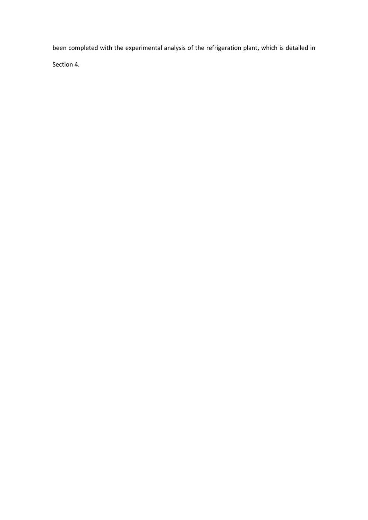been completed with the experimental analysis of the refrigeration plant, which is detailed in

Section 4.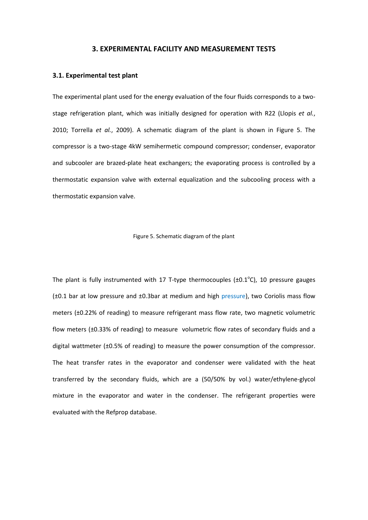#### **3. EXPERIMENTAL FACILITY AND MEASUREMENT TESTS**

#### **3.1. Experimental test plant**

The experimental plant used for the energy evaluation of the four fluids corresponds to a twostage refrigeration plant, which was initially designed for operation with R22 [\(Llopis](#page-18-5) *et al.*, [2010;](#page-18-5) [Torrella](#page-19-3) *et al.*, 2009). A schematic diagram of the plant is shown in [Figure 5.](#page-10-0) The compressor is a two-stage 4kW semihermetic compound compressor; condenser, evaporator and subcooler are brazed-plate heat exchangers; the evaporating process is controlled by a thermostatic expansion valve with external equalization and the subcooling process with a thermostatic expansion valve.

Figure 5. Schematic diagram of the plant

<span id="page-10-0"></span>The plant is fully instrumented with 17 T-type thermocouples  $(\pm 0.1^{\circ}C)$ , 10 pressure gauges  $(±0.1$  bar at low pressure and  $±0.3$ bar at medium and high pressure), two Coriolis mass flow meters (±0.22% of reading) to measure refrigerant mass flow rate, two magnetic volumetric flow meters (±0.33% of reading) to measure volumetric flow rates of secondary fluids and a digital wattmeter (±0.5% of reading) to measure the power consumption of the compressor. The heat transfer rates in the evaporator and condenser were validated with the heat transferred by the secondary fluids, which are a (50/50% by vol.) water/ethylene-glycol mixture in the evaporator and water in the condenser. The refrigerant properties were evaluated with the Refprop database.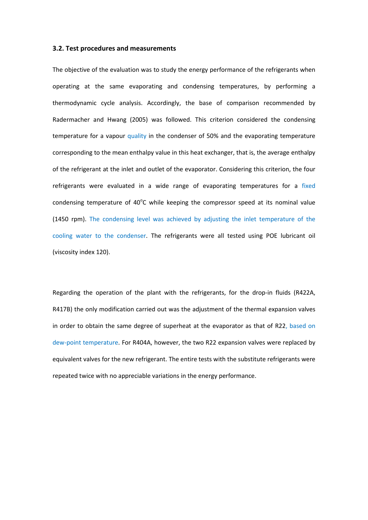#### **3.2. Test procedures and measurements**

The objective of the evaluation was to study the energy performance of the refrigerants when operating at the same evaporating and condensing temperatures, by performing a thermodynamic cycle analysis. Accordingly, the base of comparison recommended by Radermacher and Hwang [\(2005\)](#page-18-10) was followed. This criterion considered the condensing temperature for a vapour quality in the condenser of 50% and the evaporating temperature corresponding to the mean enthalpy value in this heat exchanger, that is, the average enthalpy of the refrigerant at the inlet and outlet of the evaporator. Considering this criterion, the four refrigerants were evaluated in a wide range of evaporating temperatures for a fixed condensing temperature of  $40^{\circ}$ C while keeping the compressor speed at its nominal value (1450 rpm). The condensing level was achieved by adjusting the inlet temperature of the cooling water to the condenser. The refrigerants were all tested using POE lubricant oil (viscosity index 120).

Regarding the operation of the plant with the refrigerants, for the drop-in fluids (R422A, R417B) the only modification carried out was the adjustment of the thermal expansion valves in order to obtain the same degree of superheat at the evaporator as that of R22, based on dew-point temperature. For R404A, however, the two R22 expansion valves were replaced by equivalent valves for the new refrigerant. The entire tests with the substitute refrigerants were repeated twice with no appreciable variations in the energy performance.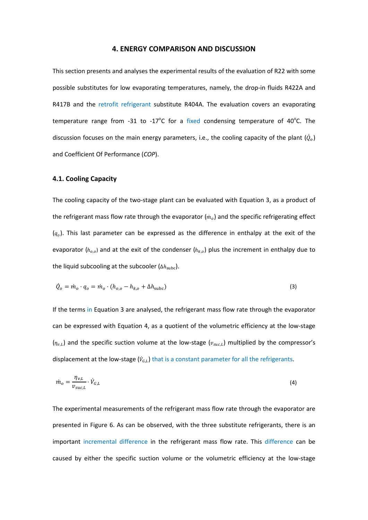#### **4. ENERGY COMPARISON AND DISCUSSION**

This section presents and analyses the experimental results of the evaluation of R22 with some possible substitutes for low evaporating temperatures, namely, the drop-in fluids R422A and R417B and the retrofit refrigerant substitute R404A. The evaluation covers an evaporating temperature range from -31 to -17 $^{\circ}$ C for a fixed condensing temperature of 40 $^{\circ}$ C. The discussion focuses on the main energy parameters, i.e., the cooling capacity of the plant  $(\dot{Q}_o)$ and Coefficient Of Performance (*COP*).

## **4.1. Cooling Capacity**

The cooling capacity of the two-stage plant can be evaluated with Equation 3, as a product of the refrigerant mass flow rate through the evaporator  $(m<sub>o</sub>)$  and the specific refrigerating effect  $(q<sub>o</sub>)$ . This last parameter can be expressed as the difference in enthalpy at the exit of the evaporator ( $h_{o,o}$ ) and at the exit of the condenser ( $h_{k,o}$ ) plus the increment in enthalpy due to the liquid subcooling at the subcooler  $(\Delta h_{subc})$ .

$$
\dot{Q}_o = \dot{m}_o \cdot q_o = \dot{m}_o \cdot (h_{o,o} - h_{k,o} + \Delta h_{\text{subc}})
$$
\n(3)

If the terms in Equation 3 are analysed, the refrigerant mass flow rate through the evaporator can be expressed with Equation 4, as a quotient of the volumetric efficiency at the low-stage  $(\eta_{v,L})$  and the specific suction volume at the low-stage ( $v_{succ,L}$ ) multiplied by the compressor's displacement at the low-stage  $(\dot{v}_{G,L})$  that is a constant parameter for all the refrigerants.

$$
\dot{m}_o = \frac{\eta_{v,L}}{\nu_{suc,L}} \cdot \dot{V}_{G,L} \tag{4}
$$

The experimental measurements of the refrigerant mass flow rate through the evaporator are presented in [Figure 6.](#page-13-0) As can be observed, with the three substitute refrigerants, there is an important incremental difference in the refrigerant mass flow rate. This difference can be caused by either the specific suction volume or the volumetric efficiency at the low-stage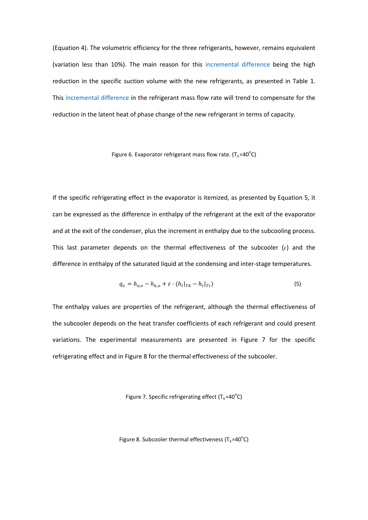(Equation 4). The volumetric efficiency for the three refrigerants, however, remains equivalent (variation less than 10%). The main reason for this incremental difference being the high reduction in the specific suction volume with the new refrigerants, as presented in [Table 1.](#page-7-0) This incremental difference in the refrigerant mass flow rate will trend to compensate for the reduction in the latent heat of phase change of the new refrigerant in terms of capacity.

# Figure 6. Evaporator refrigerant mass flow rate. (T<sub>k</sub>=40<sup>o</sup>C)

<span id="page-13-0"></span>If the specific refrigerating effect in the evaporator is itemized, as presented by Equation 5, it can be expressed as the difference in enthalpy of the refrigerant at the exit of the evaporator and at the exit of the condenser, plus the increment in enthalpy due to the subcooling process. This last parameter depends on the thermal effectiveness of the subcooler  $(\varepsilon)$  and the difference in enthalpy of the saturated liquid at the condensing and inter-stage temperatures.

$$
q_o = h_{o,o} - h_{k,o} + \varepsilon \cdot (h_l|_{Tk} - h_l|_{Ti})
$$
\n(5)

The enthalpy values are properties of the refrigerant, although the thermal effectiveness of the subcooler depends on the heat transfer coefficients of each refrigerant and could present variations. The experimental measurements are presented in [Figure 7](#page-13-1) for the specific refrigerating effect and in [Figure 8](#page-13-2) for the thermal effectiveness of the subcooler.

<span id="page-13-1"></span>Figure 7. Specific refrigerating effect ( $T_k = 40^{\circ}C$ )

<span id="page-13-2"></span>Figure 8. Subcooler thermal effectiveness (T<sub>k</sub>=40<sup>o</sup>C)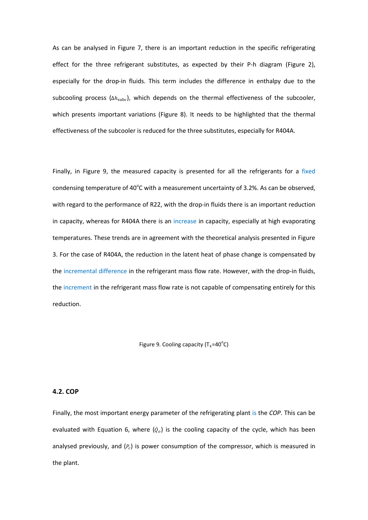As can be analysed in [Figure 7,](#page-13-1) there is an important reduction in the specific refrigerating effect for the three refrigerant substitutes, as expected by their P-h diagram [\(Figure 2\)](#page-7-1), especially for the drop-in fluids. This term includes the difference in enthalpy due to the subcooling process ( $\Delta h_{\text{subc}}$ ), which depends on the thermal effectiveness of the subcooler, which presents important variations [\(Figure 8\)](#page-13-2). It needs to be highlighted that the thermal effectiveness of the subcooler is reduced for the three substitutes, especially for R404A.

Finally, in [Figure 9,](#page-14-0) the measured capacity is presented for all the refrigerants for a fixed condensing temperature of 40 $^{\circ}$ C with a measurement uncertainty of 3.2%. As can be observed, with regard to the performance of R22, with the drop-in fluids there is an important reduction in capacity, whereas for R404A there is an increase in capacity, especially at high evaporating temperatures. These trends are in agreement with the theoretical analysis presented in [Figure](#page-8-0)  [3.](#page-8-0) For the case of R404A, the reduction in the latent heat of phase change is compensated by the incremental difference in the refrigerant mass flow rate. However, with the drop-in fluids, the increment in the refrigerant mass flow rate is not capable of compensating entirely for this reduction.

Figure 9. Cooling capacity ( $T_k = 40^{\circ}C$ )

#### <span id="page-14-0"></span>**4.2. COP**

Finally, the most important energy parameter of the refrigerating plant is the *COP*. This can be evaluated with Equation 6, where  $(\dot{Q}_o)$  is the cooling capacity of the cycle, which has been analysed previously, and  $(P<sub>c</sub>)$  is power consumption of the compressor, which is measured in the plant.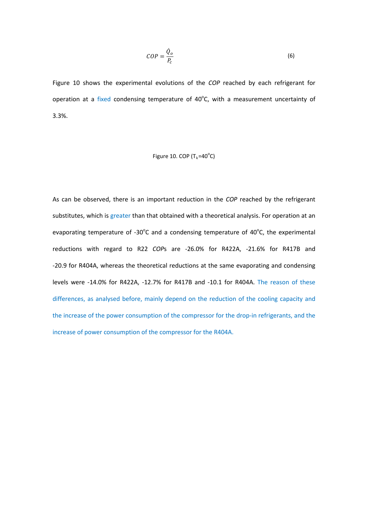$$
COP = \frac{\dot{Q}_o}{P_c} \tag{6}
$$

[Figure 10](#page-15-0) shows the experimental evolutions of the *COP* reached by each refrigerant for operation at a fixed condensing temperature of 40°C, with a measurement uncertainty of 3.3%.

# Figure 10. COP ( $T_k = 40^\circ C$ )

<span id="page-15-0"></span>As can be observed, there is an important reduction in the *COP* reached by the refrigerant substitutes, which is greater than that obtained with a theoretical analysis. For operation at an evaporating temperature of -30 $^{\circ}$ C and a condensing temperature of 40 $^{\circ}$ C, the experimental reductions with regard to R22 *COP*s are -26.0% for R422A, -21.6% for R417B and -20.9 for R404A, whereas the theoretical reductions at the same evaporating and condensing levels were -14.0% for R422A, -12.7% for R417B and -10.1 for R404A. The reason of these differences, as analysed before, mainly depend on the reduction of the cooling capacity and the increase of the power consumption of the compressor for the drop-in refrigerants, and the increase of power consumption of the compressor for the R404A.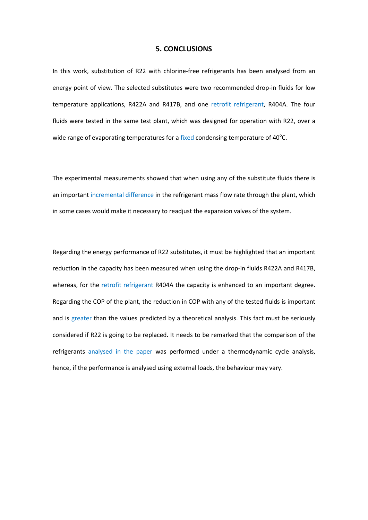#### **5. CONCLUSIONS**

In this work, substitution of R22 with chlorine-free refrigerants has been analysed from an energy point of view. The selected substitutes were two recommended drop-in fluids for low temperature applications, R422A and R417B, and one retrofit refrigerant, R404A. The four fluids were tested in the same test plant, which was designed for operation with R22, over a wide range of evaporating temperatures for a fixed condensing temperature of 40 $^{\circ}$ C.

The experimental measurements showed that when using any of the substitute fluids there is an important incremental difference in the refrigerant mass flow rate through the plant, which in some cases would make it necessary to readjust the expansion valves of the system.

Regarding the energy performance of R22 substitutes, it must be highlighted that an important reduction in the capacity has been measured when using the drop-in fluids R422A and R417B, whereas, for the retrofit refrigerant R404A the capacity is enhanced to an important degree. Regarding the COP of the plant, the reduction in COP with any of the tested fluids is important and is greater than the values predicted by a theoretical analysis. This fact must be seriously considered if R22 is going to be replaced. It needs to be remarked that the comparison of the refrigerants analysed in the paper was performed under a thermodynamic cycle analysis, hence, if the performance is analysed using external loads, the behaviour may vary.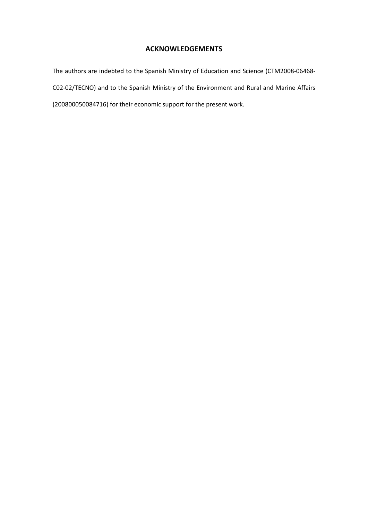# **ACKNOWLEDGEMENTS**

The authors are indebted to the Spanish Ministry of Education and Science (CTM2008-06468- C02-02/TECNO) and to the Spanish Ministry of the Environment and Rural and Marine Affairs (200800050084716) for their economic support for the present work.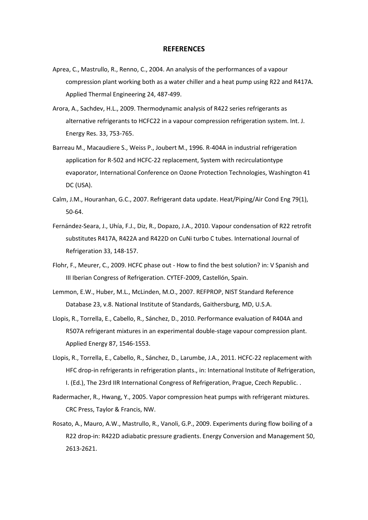#### **REFERENCES**

- <span id="page-18-3"></span>Aprea, C., Mastrullo, R., Renno, C., 2004. An analysis of the performances of a vapour compression plant working both as a water chiller and a heat pump using R22 and R417A. Applied Thermal Engineering 24, 487-499.
- <span id="page-18-4"></span>Arora, A., Sachdev, H.L., 2009. Thermodynamic analysis of R422 series refrigerants as alternative refrigerants to HCFC22 in a vapour compression refrigeration system. Int. J. Energy Res. 33, 753-765.
- <span id="page-18-7"></span>Barreau M., Macaudiere S., Weiss P., Joubert M., 1996. R-404A in industrial refrigeration application for R-502 and HCFC-22 replacement, System with recirculationtype evaporator, International Conference on Ozone Protection Technologies, Washington 41 DC (USA).
- <span id="page-18-8"></span>Calm, J.M., Houranhan, G.C., 2007. Refrigerant data update. Heat/Piping/Air Cond Eng 79(1), 50-64.
- <span id="page-18-1"></span>Fernández-Seara, J., Uhía, F.J., Diz, R., Dopazo, J.A., 2010. Vapour condensation of R22 retrofit substitutes R417A, R422A and R422D on CuNi turbo C tubes. International Journal of Refrigeration 33, 148-157.
- <span id="page-18-0"></span>Flohr, F., Meurer, C., 2009. HCFC phase out - How to find the best solution? in: V Spanish and III Iberian Congress of Refrigeration. CYTEF-2009, Castellón, Spain.
- <span id="page-18-9"></span>Lemmon, E.W., Huber, M.L., McLinden, M.O., 2007. REFPROP, NIST Standard Reference Database 23, v.8. National Institute of Standards, Gaithersburg, MD, U.S.A.
- <span id="page-18-5"></span>Llopis, R., Torrella, E., Cabello, R., Sánchez, D., 2010. Performance evaluation of R404A and R507A refrigerant mixtures in an experimental double-stage vapour compression plant. Applied Energy 87, 1546-1553.
- <span id="page-18-6"></span>Llopis, R., Torrella, E., Cabello, R., Sánchez, D., Larumbe, J.A., 2011. HCFC-22 replacement with HFC drop-in refrigerants in refrigeration plants., in: International Institute of Refrigeration, I. (Ed.), The 23rd IIR International Congress of Refrigeration, Prague, Czech Republic. .
- <span id="page-18-10"></span>Radermacher, R., Hwang, Y., 2005. Vapor compression heat pumps with refrigerant mixtures. CRC Press, Taylor & Francis, NW.
- <span id="page-18-2"></span>Rosato, A., Mauro, A.W., Mastrullo, R., Vanoli, G.P., 2009. Experiments during flow boiling of a R22 drop-in: R422D adiabatic pressure gradients. Energy Conversion and Management 50, 2613-2621.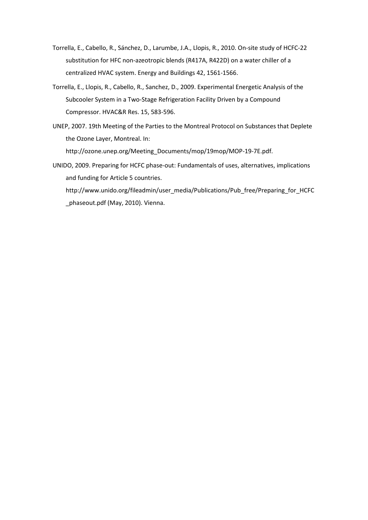- <span id="page-19-2"></span>Torrella, E., Cabello, R., Sánchez, D., Larumbe, J.A., Llopis, R., 2010. On-site study of HCFC-22 substitution for HFC non-azeotropic blends (R417A, R422D) on a water chiller of a centralized HVAC system. Energy and Buildings 42, 1561-1566.
- <span id="page-19-3"></span>Torrella, E., Llopis, R., Cabello, R., Sanchez, D., 2009. Experimental Energetic Analysis of the Subcooler System in a Two-Stage Refrigeration Facility Driven by a Compound Compressor. HVAC&R Res. 15, 583-596.
- <span id="page-19-0"></span>UNEP, 2007. 19th Meeting of the Parties to the Montreal Protocol on Substances that Deplete the Ozone Layer, Montreal. In: [http://ozone.unep.org/Meeting\\_Documents/mop/19mop/MOP-19-7E.pdf.](http://ozone.unep.org/Meeting_Documents/mop/19mop/MOP-19-7E.pdf)
- <span id="page-19-1"></span>UNIDO, 2009. Preparing for HCFC phase-out: Fundamentals of uses, alternatives, implications and funding for Article 5 countries.

[http://www.unido.org/fileadmin/user\\_media/Publications/Pub\\_free/Preparing\\_for\\_HCFC](http://www.unido.org/fileadmin/user_media/Publications/Pub_free/Preparing_for_HCFC_phaseout.pdf) [\\_phaseout.pdf](http://www.unido.org/fileadmin/user_media/Publications/Pub_free/Preparing_for_HCFC_phaseout.pdf) (May, 2010). Vienna.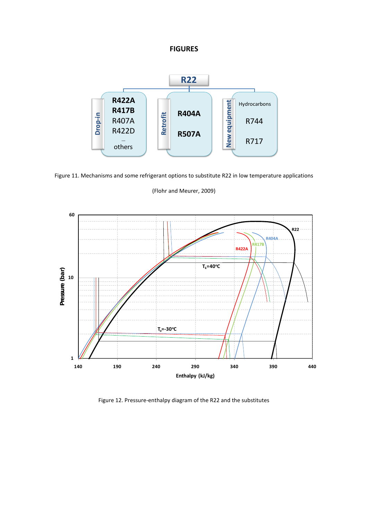# **FIGURES**



Figure 11. Mechanisms and some refrigerant options to substitute R22 in low temperature applications

## [\(Flohr and Meurer, 2009\)](#page-18-0)



Figure 12. Pressure-enthalpy diagram of the R22 and the substitutes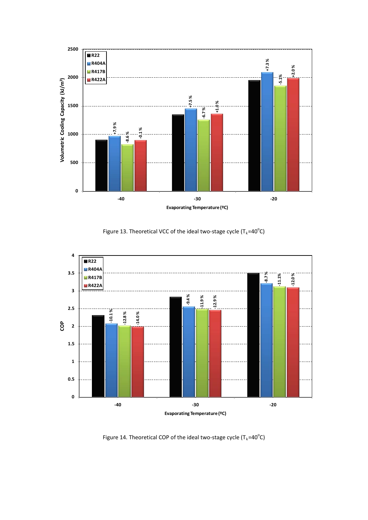

Figure 13. Theoretical VCC of the ideal two-stage cycle (T<sub>k</sub>=40<sup>o</sup>C)



Figure 14. Theoretical COP of the ideal two-stage cycle (T<sub>k</sub>=40<sup>o</sup>C)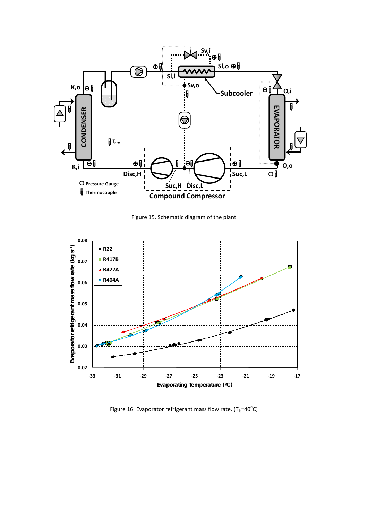

Figure 15. Schematic diagram of the plant



Figure 16. Evaporator refrigerant mass flow rate.  $(T_k=40^{\circ}C)$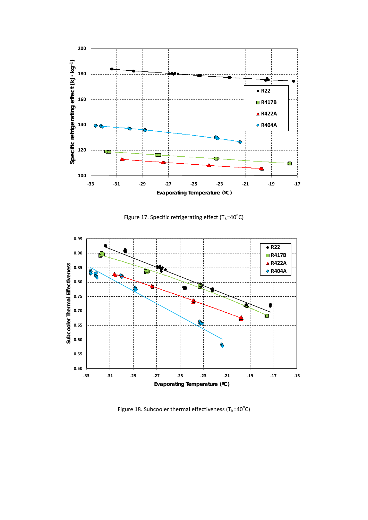

Figure 17. Specific refrigerating effect ( $T_k = 40^{\circ}C$ )



Figure 18. Subcooler thermal effectiveness (T<sub>k</sub>=40<sup>o</sup>C)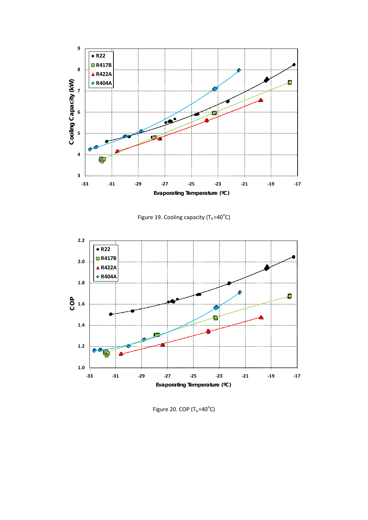

Figure 19. Cooling capacity ( $T_k = 40^{\circ}C$ )



Figure 20. COP ( $T_k = 40^\circ C$ )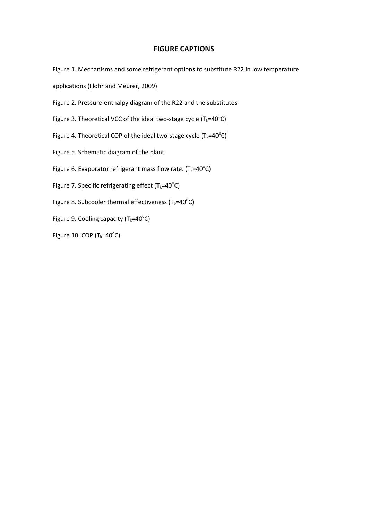# **FIGURE CAPTIONS**

Figure 1. [Mechanisms and some refrigerant options to substitute R22 in low temperature](#page-5-0) 

applications (Flohr [and Meurer, 2009\)](#page-5-0)

Figure 2. [Pressure-enthalpy diagram of the R22 and the substitutes](#page-7-1)

Figure 3. Theoretical VCC of the ideal two-stage cycle ( $T_k = 40^\circ C$ )

Figure 4. Theoretical COP of the ideal two-stage cycle ( $T_k = 40^\circ C$ )

Figure 5. [Schematic diagram](#page-10-0) of the plant

Figure 6. Evaporator refrigerant mass flow rate. (T<sub>k</sub>=40°C)

Figure 7. Specific refrigerating effect ( $T_k = 40^\circ \text{C}$ )

Figure 8. Subcooler thermal effectiveness (T<sub>k</sub>=40°C)

Figure 9. Cooling capacity ( $T_k = 40^{\circ}$ C)

Figure 10. COP ( $T_k = 40^\circ C$ )